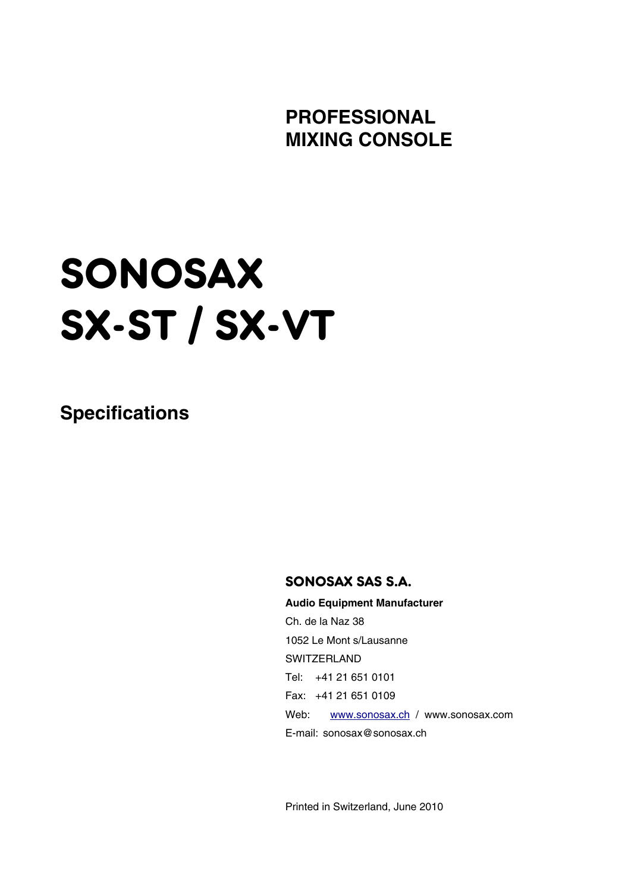**PROFESSIONAL MIXING CONSOLE** 

# SONOSAX SX-ST / SX-VT

**Specifications** 

## SONOSAX SAS S.A.

 **Audio Equipment Manufacturer** Ch. de la Naz 38 1052 Le Mont s/Lausanne **SWITZERLAND**  Tel: +41 21 651 0101 Fax: +41 21 651 0109 Web: www.sonosax.ch / www.sonosax.com E-mail: sonosax@sonosax.ch

Printed in Switzerland, June 2010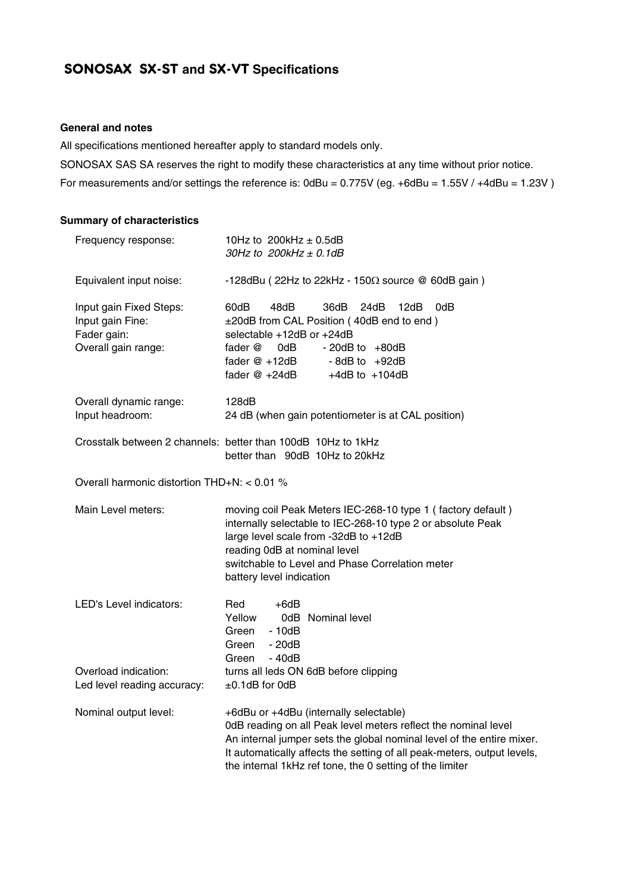## SONOSAX SX-ST **and** SX-VT **Specifications**

#### **General and notes**

All specifications mentioned hereafter apply to standard models only.

SONOSAX SAS SA reserves the right to modify these characteristics at any time without prior notice.

For measurements and/or settings the reference is: 0dBu = 0.775V (eg. +6dBu = 1.55V / +4dBu = 1.23V )

#### **Summary of characteristics**

| Frequency response:                                                               | 10Hz to 200kHz $\pm$ 0.5dB<br>30Hz to $200$ kHz $\pm$ 0.1dB                                                                                                                                                                                                                                                              |  |  |
|-----------------------------------------------------------------------------------|--------------------------------------------------------------------------------------------------------------------------------------------------------------------------------------------------------------------------------------------------------------------------------------------------------------------------|--|--|
| Equivalent input noise:                                                           | -128dBu (22Hz to 22kHz - 150 $\Omega$ source @ 60dB gain)                                                                                                                                                                                                                                                                |  |  |
| Input gain Fixed Steps:<br>Input gain Fine:<br>Fader gain:<br>Overall gain range: | 60dB<br>48dB<br>36dB<br>24dB<br>12dB<br>0dB<br>±20dB from CAL Position (40dB end to end)<br>selectable +12dB or +24dB<br>fader @<br>0dB l<br>$-20dB$ to $+80dB$<br>fader @ +12dB<br>$-8$ dB to $+92$ dB<br>fader @ +24dB<br>$+4dB$ to $+104dB$                                                                           |  |  |
| Overall dynamic range:<br>Input headroom:                                         | 128dB<br>24 dB (when gain potentiometer is at CAL position)                                                                                                                                                                                                                                                              |  |  |
|                                                                                   | Crosstalk between 2 channels: better than 100dB 10Hz to 1kHz<br>better than 90dB 10Hz to 20kHz                                                                                                                                                                                                                           |  |  |
| Overall harmonic distortion THD+N: < 0.01 %                                       |                                                                                                                                                                                                                                                                                                                          |  |  |
| Main Level meters:                                                                | moving coil Peak Meters IEC-268-10 type 1 (factory default)<br>internally selectable to IEC-268-10 type 2 or absolute Peak<br>large level scale from -32dB to +12dB<br>reading 0dB at nominal level<br>switchable to Level and Phase Correlation meter<br>battery level indication                                       |  |  |
| LED's Level indicators:                                                           | $+6dB$<br>Red<br>Yellow<br>0dB Nominal level<br>Green<br>$-10dB$<br>Green<br>$-20dB$<br>- 40dB<br>Green                                                                                                                                                                                                                  |  |  |
| Overload indication:<br>Led level reading accuracy:                               | turns all leds ON 6dB before clipping<br>$\pm$ 0.1dB for 0dB                                                                                                                                                                                                                                                             |  |  |
| Nominal output level:                                                             | +6dBu or +4dBu (internally selectable)<br>0dB reading on all Peak level meters reflect the nominal level<br>An internal jumper sets the global nominal level of the entire mixer.<br>It automatically affects the setting of all peak-meters, output levels,<br>the internal 1kHz ref tone, the 0 setting of the limiter |  |  |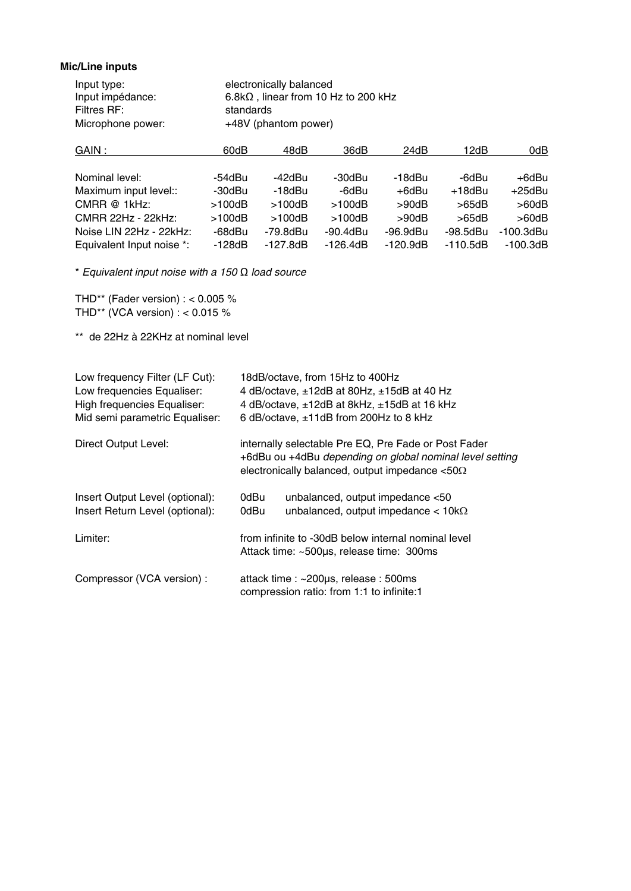#### **Mic/Line inputs**

| Input type:       | electronically balanced                     |
|-------------------|---------------------------------------------|
| Input impédance:  | $6.8k\Omega$ , linear from 10 Hz to 200 kHz |
| Filtres RF:       | standards                                   |
| Microphone power: | +48V (phantom power)                        |

| 60dB     | 48dB         | 36dB           | 24dB       | 12dB       | 0dB          |
|----------|--------------|----------------|------------|------------|--------------|
|          |              |                |            |            |              |
| -54dBu   | -42dBu       | -30dBu         | -18dBu     | -6dBu      | +6dBu        |
| -30dBu   | $-18$ d $Bu$ | -6dBu          | +6dBu      | $+18$ dBu  | $+25$ dBu    |
| >100dB   | >100dB       | >100dB         | >90dB      | >65dB      | $>60$ d $B$  |
| >100dB   | >100dB       | >100dB         | >90dB      | >65dB      | $>60$ d $B$  |
| -68dBu   | -79.8dBu     | $-90.4$ d $Bu$ | -96.9dBu   | -98.5dBu   | $-100.3$ dBu |
| $-128dB$ | $-127.8dB$   | $-126.4dB$     | $-120.9dB$ | $-110.5dB$ | $-100.3dB$   |
|          |              |                |            |            |              |

\* *Equivalent input noise with a 150* Ω *load source* 

THD\*\* (Fader version) :  $< 0.005$  % THD\*\* (VCA version) : < 0.015 %

\*\* de 22Hz à 22KHz at nominal level

| Low frequency Filter (LF Cut):<br>Low frequencies Equaliser:<br><b>High frequencies Equaliser:</b><br>Mid semi parametric Equaliser: | 18dB/octave, from 15Hz to 400Hz<br>4 dB/octave, ±12dB at 80Hz, ±15dB at 40 Hz<br>4 dB/octave, $\pm$ 12dB at 8kHz, $\pm$ 15dB at 16 kHz<br>6 dB/octave, ±11dB from 200Hz to 8 kHz |  |  |
|--------------------------------------------------------------------------------------------------------------------------------------|----------------------------------------------------------------------------------------------------------------------------------------------------------------------------------|--|--|
| <b>Direct Output Level:</b>                                                                                                          | internally selectable Pre EQ, Pre Fade or Post Fader<br>+6dBu ou +4dBu depending on global nominal level setting<br>electronically balanced, output impedance $< 50\Omega$       |  |  |
| Insert Output Level (optional):<br>Insert Return Level (optional):                                                                   | unbalanced, output impedance <50<br>0dBu<br>unbalanced, output impedance $< 10k\Omega$<br>0dBu                                                                                   |  |  |
| Limiter:                                                                                                                             | from infinite to -30dB below internal nominal level<br>Attack time: ~500µs, release time: 300ms                                                                                  |  |  |
| Compressor (VCA version) :                                                                                                           | attack time : ~200µs, release : 500ms<br>compression ratio: from 1:1 to infinite:1                                                                                               |  |  |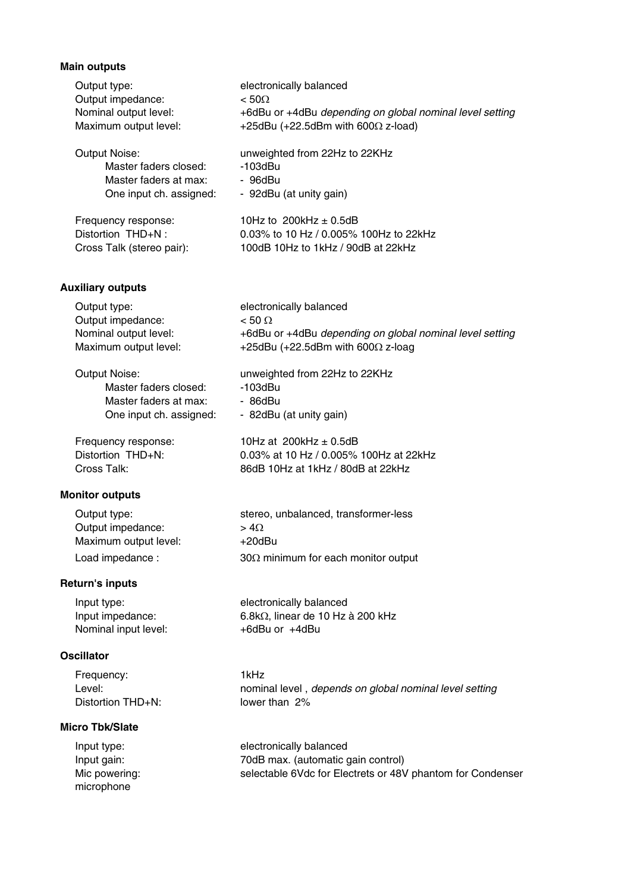## **Main outputs**

| Output type:                               | electronically balanced<br>$< 50\Omega$                  |
|--------------------------------------------|----------------------------------------------------------|
| Output impedance:<br>Nominal output level: | +6dBu or +4dBu depending on global nominal level setting |
| Maximum output level:                      | +25dBu (+22.5dBm with 600 $\Omega$ z-load)               |
| <b>Output Noise:</b>                       | unweighted from 22Hz to 22KHz                            |
| Master faders closed:                      | $-103$ d $Bu$                                            |
| Master faders at max:                      | - 96dBu                                                  |
| One input ch. assigned:                    | - 92dBu (at unity gain)                                  |
| Frequency response:                        | 10Hz to $200$ kHz $\pm$ 0.5dB                            |
| Distortion THD+N:                          | 0.03% to 10 Hz / 0.005% 100Hz to 22kHz                   |
| Cross Talk (stereo pair):                  | 100dB 10Hz to 1kHz / 90dB at 22kHz                       |
| <b>Auxiliary outputs</b>                   |                                                          |
| Output type:                               | electronically balanced                                  |
| Output impedance:                          | $< 50 \Omega$                                            |
| Nominal output level:                      | +6dBu or +4dBu depending on global nominal level setting |
| Maximum output level:                      | +25dBu (+22.5dBm with 600 $\Omega$ z-loag                |
| <b>Output Noise:</b>                       | unweighted from 22Hz to 22KHz                            |
| Master faders closed:                      | $-103$ d $Bu$                                            |
| Master faders at max:                      | - 86dBu                                                  |
| One input ch. assigned:                    | - 82dBu (at unity gain)                                  |
| Frequency response:                        | 10Hz at 200kHz $\pm$ 0.5dB                               |
| Distortion THD+N:                          | 0.03% at 10 Hz / 0.005% 100Hz at 22kHz                   |
| Cross Talk:                                | 86dB 10Hz at 1kHz / 80dB at 22kHz                        |
| <b>Monitor outputs</b>                     |                                                          |
| Output type:                               | stereo, unbalanced, transformer-less                     |
| Output impedance:                          | $> 4\Omega$                                              |
| Maximum output level:                      | $+20$ dBu                                                |
| Load impedance :                           | $30\Omega$ minimum for each monitor output               |
| <b>Return's inputs</b>                     |                                                          |
| Input type:                                | electronically balanced                                  |
| Input impedance:                           | 6.8kΩ, linear de 10 Hz à 200 kHz                         |
| Nominal input level:                       | +6dBu or +4dBu                                           |
| <b>Oscillator</b>                          |                                                          |
| Frequency:                                 | 1kHz                                                     |
| Level:                                     | nominal level, depends on global nominal level setting   |
| Distortion THD+N:                          | lower than 2%                                            |
| <b>Micro Tbk/Slate</b>                     |                                                          |
| Input type:                                | electronically balanced                                  |
| Input gain:                                | 70dB max. (automatic gain control)                       |

microphone<br>microphone

Mic powering: selectable 6Vdc for Electrets or 48V phantom for Condenser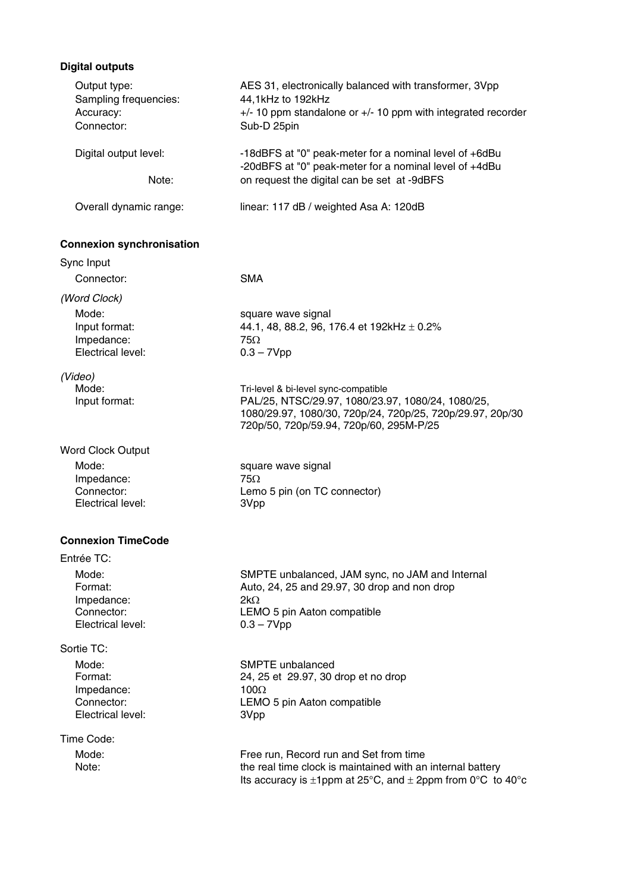## **Digital outputs**

| Output type:<br>Sampling frequencies:<br>Accuracy:<br>Connector: | AES 31, electronically balanced with transformer, 3Vpp<br>44,1kHz to 192kHz<br>+/- 10 ppm standalone or +/- 10 ppm with integrated recorder<br>Sub-D 25pin      |
|------------------------------------------------------------------|-----------------------------------------------------------------------------------------------------------------------------------------------------------------|
| Digital output level:<br>Note:                                   | -18dBFS at "0" peak-meter for a nominal level of +6dBu<br>-20dBFS at "0" peak-meter for a nominal level of +4dBu<br>on request the digital can be set at -9dBFS |
| Overall dynamic range:                                           | linear: 117 dB / weighted Asa A: 120dB                                                                                                                          |
| <b>Connexion synchronisation</b>                                 |                                                                                                                                                                 |
| Sync Input                                                       |                                                                                                                                                                 |
| Connector:                                                       | <b>SMA</b>                                                                                                                                                      |
| (Word Clock)                                                     |                                                                                                                                                                 |
| Mode:                                                            | square wave signal                                                                                                                                              |
| Input format:                                                    | 44.1, 48, 88.2, 96, 176.4 et 192kHz $\pm$ 0.2%                                                                                                                  |
| Impedance:<br>Electrical level:                                  | $75\Omega$<br>$0.3 - 7Vpp$                                                                                                                                      |
|                                                                  |                                                                                                                                                                 |
| (Video)                                                          |                                                                                                                                                                 |
| Mode:                                                            | Tri-level & bi-level sync-compatible<br>PAL/25, NTSC/29.97, 1080/23.97, 1080/24, 1080/25,                                                                       |
| Input format:                                                    | 1080/29.97, 1080/30, 720p/24, 720p/25, 720p/29.97, 20p/30                                                                                                       |
|                                                                  | 720p/50, 720p/59.94, 720p/60, 295M-P/25                                                                                                                         |
| <b>Word Clock Output</b>                                         |                                                                                                                                                                 |
| Mode:                                                            | square wave signal                                                                                                                                              |
| Impedance:                                                       | $75\Omega$                                                                                                                                                      |
| Connector:                                                       | Lemo 5 pin (on TC connector)                                                                                                                                    |
| Electrical level:                                                | 3Vpp                                                                                                                                                            |
| <b>Connexion TimeCode</b>                                        |                                                                                                                                                                 |
| Entrée TC:                                                       |                                                                                                                                                                 |
| Mode:                                                            | SMPTE unbalanced, JAM sync, no JAM and Internal                                                                                                                 |
| Format:                                                          | Auto, 24, 25 and 29.97, 30 drop and non drop                                                                                                                    |
| Impedance:                                                       | $2k\Omega$                                                                                                                                                      |
| Connector:<br>Electrical level:                                  | LEMO 5 pin Aaton compatible<br>$0.3 - 7Vpp$                                                                                                                     |
| Sortie TC:                                                       |                                                                                                                                                                 |
| Mode:                                                            | SMPTE unbalanced                                                                                                                                                |
| Format:                                                          | 24, 25 et 29.97, 30 drop et no drop                                                                                                                             |
| Impedance:                                                       | 100 $\Omega$                                                                                                                                                    |
| Connector:<br>Electrical level:                                  | LEMO 5 pin Aaton compatible<br>3Vpp                                                                                                                             |
| Time Code:                                                       |                                                                                                                                                                 |
| Mode:                                                            | Free run, Record run and Set from time                                                                                                                          |
| Note:                                                            | the real time clock is maintained with an internal battery                                                                                                      |
|                                                                  | Its accuracy is $\pm 1$ ppm at 25°C, and $\pm 2$ ppm from 0°C to 40°c                                                                                           |
|                                                                  |                                                                                                                                                                 |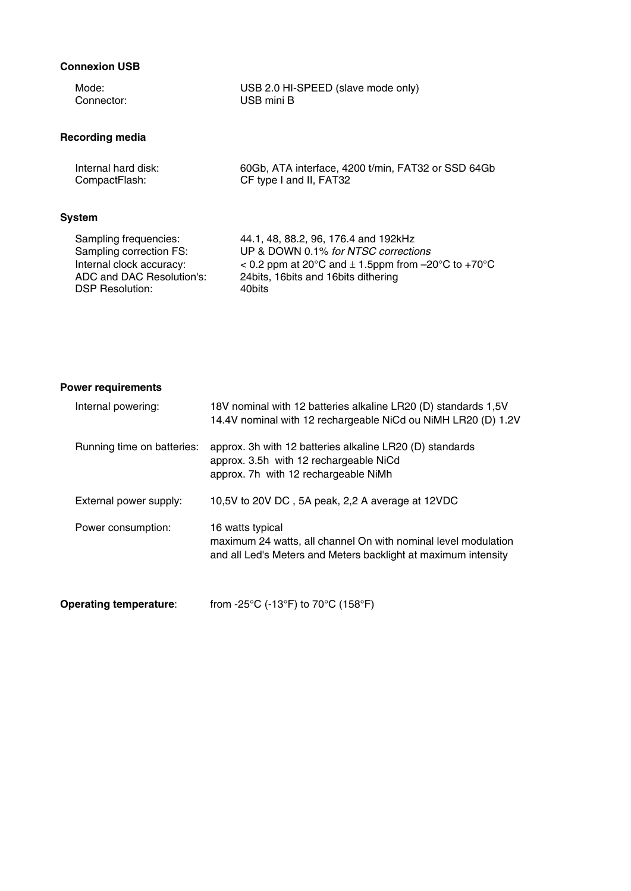## **Connexion USB**

| Mode:                     | USB 2.0 HI-SPEED (slave mode only)                       |
|---------------------------|----------------------------------------------------------|
| Connector:                | USB mini B                                               |
| <b>Recording media</b>    |                                                          |
| Internal hard disk:       | 60Gb, ATA interface, 4200 t/min, FAT32 or SSD 64Gb       |
| CompactFlash:             | CF type I and II, FAT32                                  |
| System                    |                                                          |
| Sampling frequencies:     | 44.1, 48, 88.2, 96, 176.4 and 192kHz                     |
| Sampling correction FS:   | UP & DOWN 0.1% for NTSC corrections                      |
| Internal clock accuracy:  | $<$ 0.2 ppm at 20°C and $\pm$ 1.5ppm from -20°C to +70°C |
| ADC and DAC Resolution's: | 24 bits, 16 bits and 16 bits dithering                   |
| <b>DSP Resolution:</b>    | 40bits                                                   |

### **Power requirements**

| Internal powering:         | 18V nominal with 12 batteries alkaline LR20 (D) standards 1,5V<br>14.4V nominal with 12 rechargeable NiCd ou NiMH LR20 (D) 1.2V                      |
|----------------------------|------------------------------------------------------------------------------------------------------------------------------------------------------|
| Running time on batteries: | approx. 3h with 12 batteries alkaline LR20 (D) standards<br>approx. 3.5h with 12 rechargeable NiCd<br>approx. 7h with 12 rechargeable NiMh           |
| External power supply:     | 10,5V to 20V DC, 5A peak, 2,2 A average at 12VDC                                                                                                     |
| Power consumption:         | 16 watts typical<br>maximum 24 watts, all channel On with nominal level modulation<br>and all Led's Meters and Meters backlight at maximum intensity |

**Operating temperature:** from -25°C (-13°F) to 70°C (158°F)